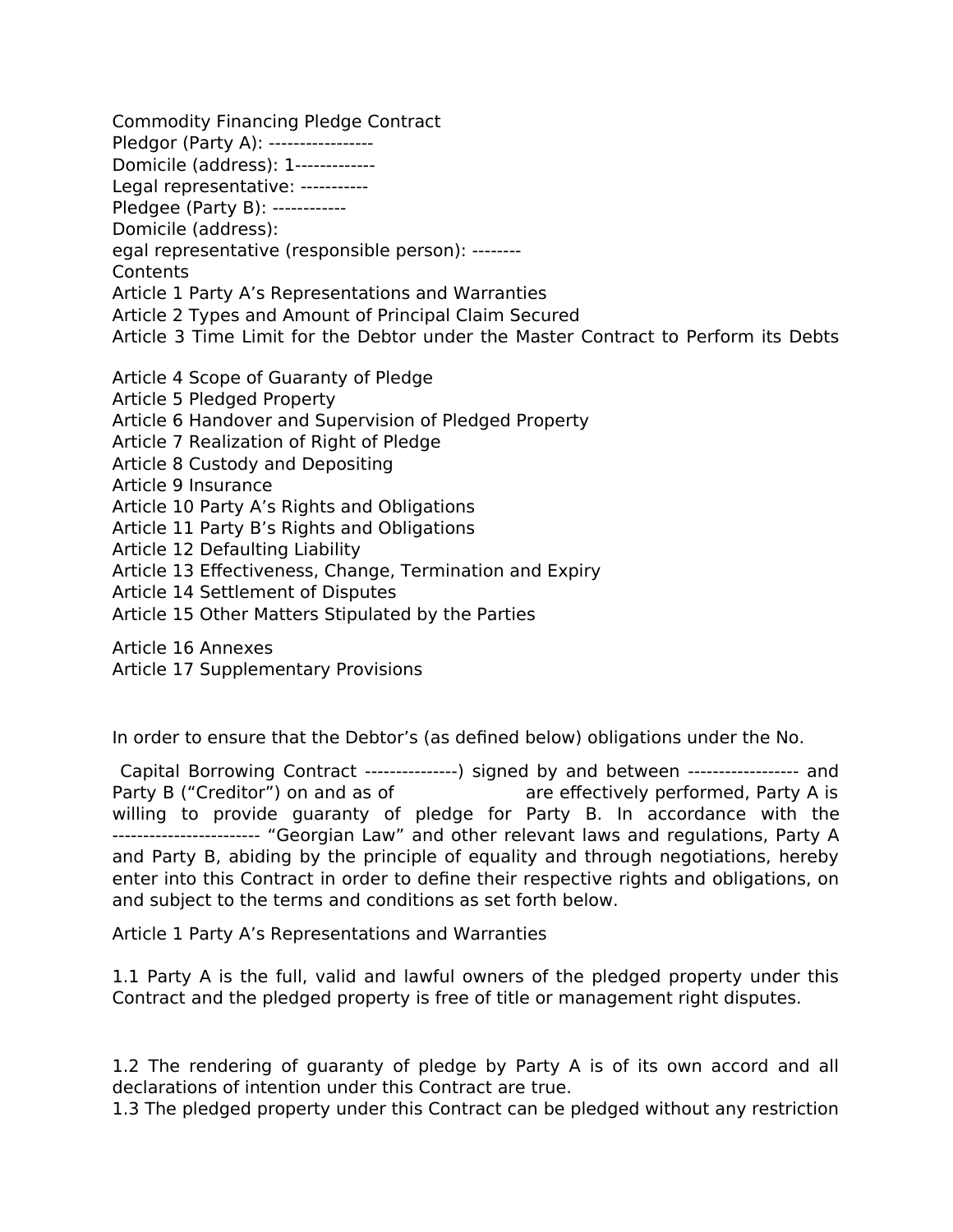Commodity Financing Pledge Contract Pledgor (Party A): -----------------Domicile (address): 1------------- Legal representative: ----------- Pledgee (Party B): ------------ Domicile (address): egal representative (responsible person): -------- Contents Article 1 Party A's Representations and Warranties Article 2 Types and Amount of Principal Claim Secured Article 3 Time Limit for the Debtor under the Master Contract to Perform its Debts Article 4 Scope of Guaranty of Pledge Article 5 Pledged Property Article 6 Handover and Supervision of Pledged Property Article 7 Realization of Right of Pledge Article 8 Custody and Depositing Article 9 Insurance Article 10 Party A's Rights and Obligations Article 11 Party B's Rights and Obligations Article 12 Defaulting Liability Article 13 Effectiveness, Change, Termination and Expiry Article 14 Settlement of Disputes Article 15 Other Matters Stipulated by the Parties Article 16 Annexes

Article 17 Supplementary Provisions

In order to ensure that the Debtor's (as defined below) obligations under the No.

 Capital Borrowing Contract ---------------) signed by and between ------------------ and Party B ("Creditor") on and as of are effectively performed, Party A is willing to provide guaranty of pledge for Party B. In accordance with the ------------------------ "Georgian Law" and other relevant laws and regulations, Party A and Party B, abiding by the principle of equality and through negotiations, hereby enter into this Contract in order to define their respective rights and obligations, on and subject to the terms and conditions as set forth below.

Article 1 Party A's Representations and Warranties

1.1 Party A is the full, valid and lawful owners of the pledged property under this Contract and the pledged property is free of title or management right disputes.

1.2 The rendering of guaranty of pledge by Party A is of its own accord and all declarations of intention under this Contract are true.

1.3 The pledged property under this Contract can be pledged without any restriction